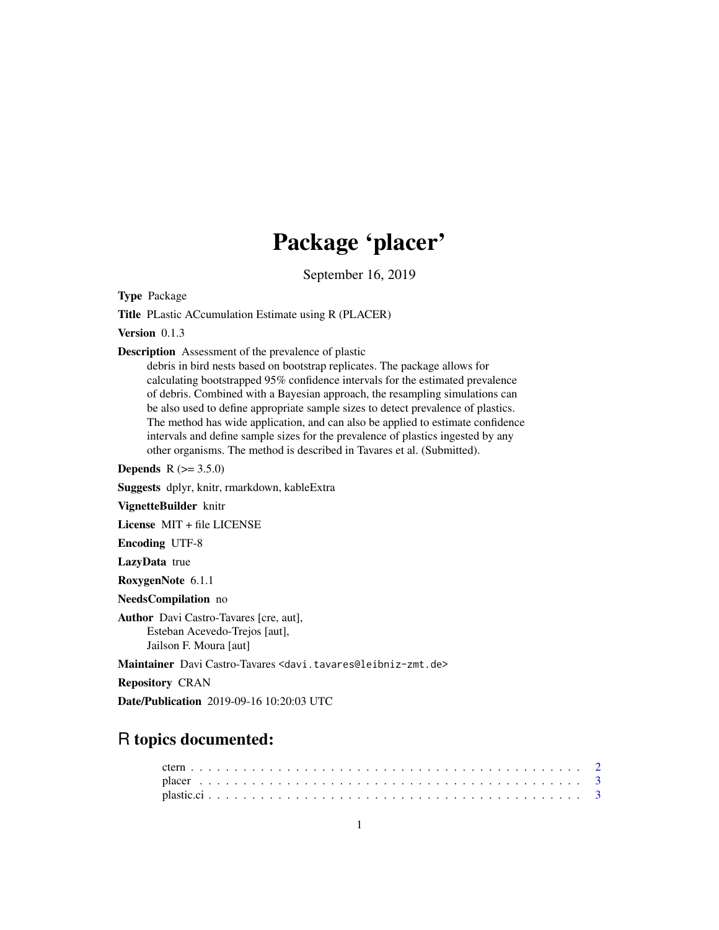## Package 'placer'

September 16, 2019

Type Package

Title PLastic ACcumulation Estimate using R (PLACER)

Version 0.1.3

Description Assessment of the prevalence of plastic

debris in bird nests based on bootstrap replicates. The package allows for calculating bootstrapped 95% confidence intervals for the estimated prevalence of debris. Combined with a Bayesian approach, the resampling simulations can be also used to define appropriate sample sizes to detect prevalence of plastics. The method has wide application, and can also be applied to estimate confidence intervals and define sample sizes for the prevalence of plastics ingested by any other organisms. The method is described in Tavares et al. (Submitted).

**Depends** R  $(>= 3.5.0)$ 

Suggests dplyr, knitr, rmarkdown, kableExtra

VignetteBuilder knitr

License MIT + file LICENSE

Encoding UTF-8

LazyData true

RoxygenNote 6.1.1

NeedsCompilation no

Author Davi Castro-Tavares [cre, aut], Esteban Acevedo-Trejos [aut], Jailson F. Moura [aut]

Maintainer Davi Castro-Tavares <davi.tavares@leibniz-zmt.de>

Repository CRAN

Date/Publication 2019-09-16 10:20:03 UTC

### R topics documented: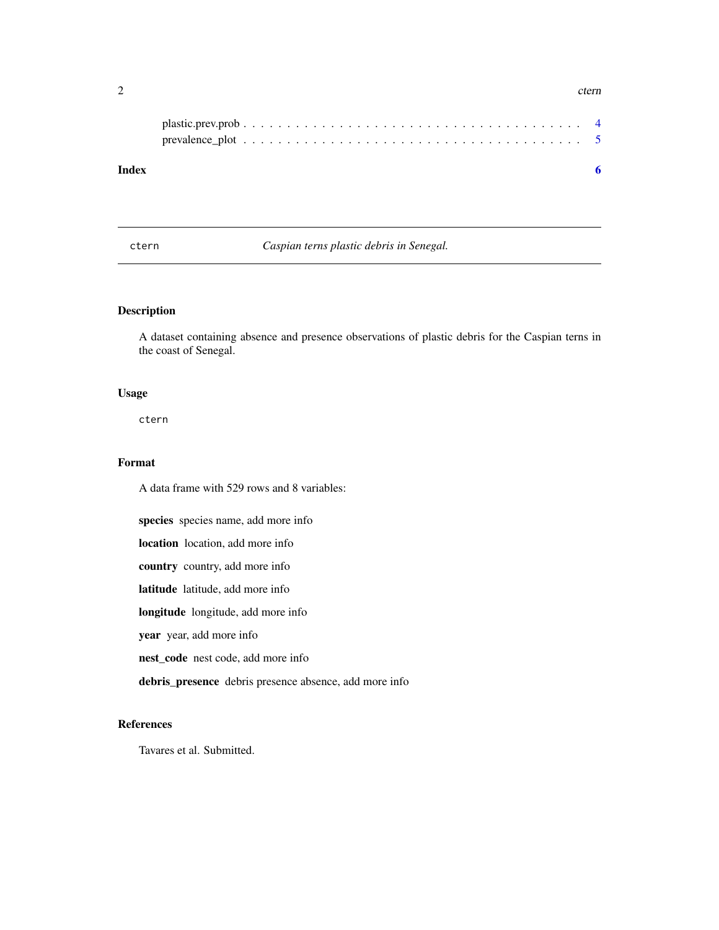#### <span id="page-1-0"></span> $2 \t\t term$

ctern *Caspian terns plastic debris in Senegal.*

#### Description

A dataset containing absence and presence observations of plastic debris for the Caspian terns in the coast of Senegal.

#### Usage

ctern

#### Format

A data frame with 529 rows and 8 variables:

species species name, add more info location location, add more info country country, add more info latitude latitude, add more info longitude longitude, add more info year year, add more info nest\_code nest code, add more info

debris\_presence debris presence absence, add more info

#### References

Tavares et al. Submitted.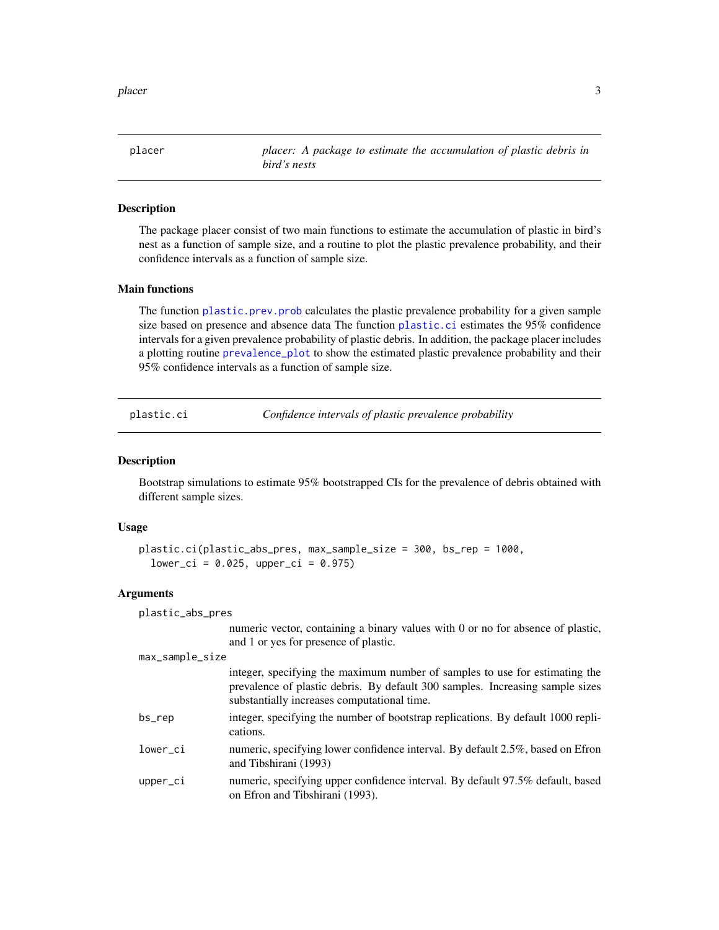<span id="page-2-0"></span>placer 3 and 3 and 3 and 3 and 3 and 3 and 3 and 3 and 3 and 3 and 3 and 3 and 3 and 3 and 3 and 3 and 3 and 3 and 3 and 3 and 3 and 3 and 3 and 3 and 3 and 3 and 3 and 3 and 3 and 3 and 3 and 3 and 3 and 3 and 3 and 3 and

placer *placer: A package to estimate the accumulation of plastic debris in bird's nests*

#### Description

The package placer consist of two main functions to estimate the accumulation of plastic in bird's nest as a function of sample size, and a routine to plot the plastic prevalence probability, and their confidence intervals as a function of sample size.

#### Main functions

The function [plastic.prev.prob](#page-3-1) calculates the plastic prevalence probability for a given sample size based on presence and absence data The function [plastic.ci](#page-2-1) estimates the 95% confidence intervals for a given prevalence probability of plastic debris. In addition, the package placer includes a plotting routine [prevalence\\_plot](#page-4-1) to show the estimated plastic prevalence probability and their 95% confidence intervals as a function of sample size.

<span id="page-2-1"></span>

plastic.ci *Confidence intervals of plastic prevalence probability*

#### Description

Bootstrap simulations to estimate 95% bootstrapped CIs for the prevalence of debris obtained with different sample sizes.

#### Usage

```
plastic.ci(plastic_abs_pres, max_sample_size = 300, bs_rep = 1000,
  lower_c i = 0.025, upper_ci = 0.975)
```
and Tibshirani (1993)

#### Arguments

plastic\_abs\_pres

numeric vector, containing a binary values with 0 or no for absence of plastic, and 1 or yes for presence of plastic.

max\_sample\_size

|          | integer, specifying the maximum number of samples to use for estimating the                  |
|----------|----------------------------------------------------------------------------------------------|
|          | prevalence of plastic debris. By default 300 samples. Increasing sample sizes                |
|          | substantially increases computational time.                                                  |
| bs_rep   | integer, specifying the number of bootstrap replications. By default 1000 repli-<br>cations. |
| lower_ci | numeric, specifying lower confidence interval. By default 2.5%, based on Efron               |

upper\_ci numeric, specifying upper confidence interval. By default 97.5% default, based on Efron and Tibshirani (1993).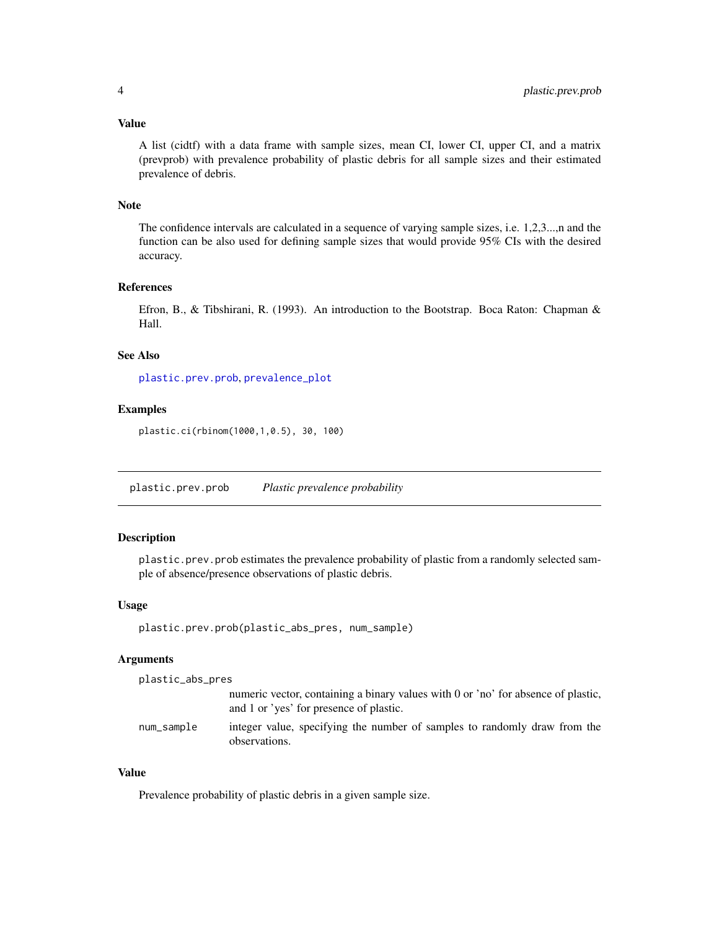#### <span id="page-3-0"></span>Value

A list (cidtf) with a data frame with sample sizes, mean CI, lower CI, upper CI, and a matrix (prevprob) with prevalence probability of plastic debris for all sample sizes and their estimated prevalence of debris.

#### Note

The confidence intervals are calculated in a sequence of varying sample sizes, i.e. 1,2,3...,n and the function can be also used for defining sample sizes that would provide 95% CIs with the desired accuracy.

#### References

Efron, B., & Tibshirani, R. (1993). An introduction to the Bootstrap. Boca Raton: Chapman & Hall.

#### See Also

[plastic.prev.prob](#page-3-1), [prevalence\\_plot](#page-4-1)

#### Examples

plastic.ci(rbinom(1000,1,0.5), 30, 100)

<span id="page-3-1"></span>plastic.prev.prob *Plastic prevalence probability*

#### Description

plastic.prev.prob estimates the prevalence probability of plastic from a randomly selected sample of absence/presence observations of plastic debris.

#### Usage

```
plastic.prev.prob(plastic_abs_pres, num_sample)
```
#### Arguments

```
plastic_abs_pres
```
numeric vector, containing a binary values with 0 or 'no' for absence of plastic, and 1 or 'yes' for presence of plastic.

num\_sample integer value, specifying the number of samples to randomly draw from the observations.

#### Value

Prevalence probability of plastic debris in a given sample size.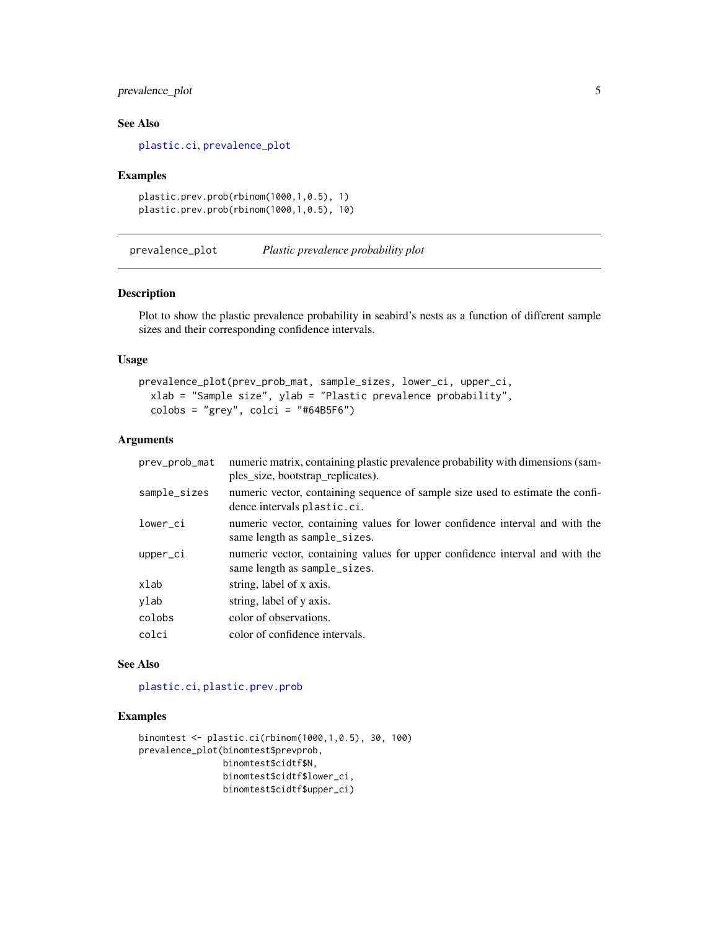#### <span id="page-4-0"></span>prevalence\_plot 5

#### See Also

[plastic.ci](#page-2-1), [prevalence\\_plot](#page-4-1)

#### Examples

```
plastic.prev.prob(rbinom(1000,1,0.5), 1)
plastic.prev.prob(rbinom(1000,1,0.5), 10)
```
<span id="page-4-1"></span>prevalence\_plot *Plastic prevalence probability plot*

#### Description

Plot to show the plastic prevalence probability in seabird's nests as a function of different sample sizes and their corresponding confidence intervals.

#### Usage

```
prevalence_plot(prev_prob_mat, sample_sizes, lower_ci, upper_ci,
 xlab = "Sample size", ylab = "Plastic prevalence probability",
  colobs = "grey", colci = "#64B5F6")
```
#### Arguments

| prev_prob_mat | numeric matrix, containing plastic prevalence probability with dimensions (sam-<br>ples_size, bootstrap_replicates). |
|---------------|----------------------------------------------------------------------------------------------------------------------|
| sample_sizes  | numeric vector, containing sequence of sample size used to estimate the confi-<br>dence intervals plastic.ci.        |
| lower_ci      | numeric vector, containing values for lower confidence interval and with the<br>same length as sample_sizes.         |
| upper_ci      | numeric vector, containing values for upper confidence interval and with the<br>same length as sample_sizes.         |
| xlab          | string, label of x axis.                                                                                             |
| ylab          | string, label of y axis.                                                                                             |
| colobs        | color of observations.                                                                                               |
| colci         | color of confidence intervals.                                                                                       |

#### See Also

[plastic.ci](#page-2-1), [plastic.prev.prob](#page-3-1)

#### Examples

```
binomtest <- plastic.ci(rbinom(1000,1,0.5), 30, 100)
prevalence_plot(binomtest$prevprob,
                binomtest$cidtf$N,
                binomtest$cidtf$lower_ci,
               binomtest$cidtf$upper_ci)
```